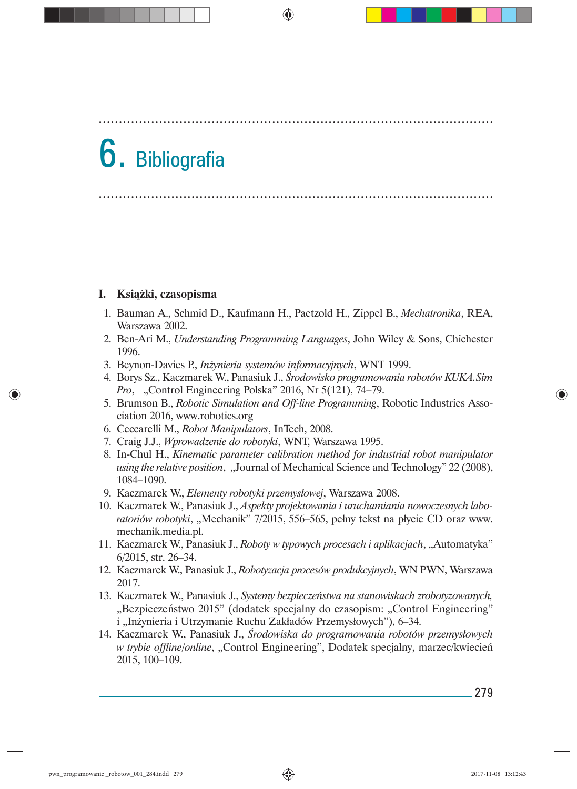## 6. Bibliografia

## **I. Książki, czasopisma**

1. Bauman A., Schmid D., Kaufmann H., Paetzold H., Zippel B., *Mechatronika*, REA, Warszawa 2002.

..................................................................................................

..................................................................................................

- 2. Ben-Ari M., *Understanding Programming Languages*, John Wiley & Sons, Chichester 1996.
- 3. Beynon-Davies P., *Inżynieria systemów informacyjnych*, WNT 1999.
- 4. Borys Sz., Kaczmarek W., Panasiuk J., *Środowisko programowania robotów KUKA.Sim Pro*, "Control Engineering Polska" 2016, Nr 5(121), 74–79.
- 5. Brumson B., *Robotic Simulation and Off-line Programming*, Robotic Industries Association 2016, www.robotics.org
- 6. Ceccarelli M., *Robot Manipulators*, InTech, 2008.
- 7. Craig J.J., *Wprowadzenie do robotyki*, WNT, Warszawa 1995.
- 8. In-Chul H., *Kinematic parameter calibration method for industrial robot manipulator using the relative position, "Journal of Mechanical Science and Technology"* 22 (2008), 1084–1090.
- 9. Kaczmarek W., *Elementy robotyki przemysłowej*, Warszawa 2008.
- 10. Kaczmarek W., Panasiuk J., *Aspekty projektowania i uruchamiania nowoczesnych labo*ratoriów robotyki, "Mechanik" 7/2015, 556–565, pełny tekst na płycie CD oraz www. mechanik.media.pl.
- 11. Kaczmarek W., Panasiuk J., *Roboty w typowych procesach i aplikacjach*, "Automatyka" 6/2015, str. 26–34.
- 12. Kaczmarek W., Panasiuk J., *Robotyzacja procesów produkcyjnych*, WN PWN, Warszawa 2017.
- 13. Kaczmarek W., Panasiuk J., *Systemy bezpieczeństwa na stanowiskach zrobotyzowanych,* "Bezpieczeństwo 2015" (dodatek specjalny do czasopism: "Control Engineering" i "Inżynieria i Utrzymanie Ruchu Zakładów Przemysłowych"), 6–34.
- 14. Kaczmarek W., Panasiuk J., *Środowiska do programowania robotów przemysłowych w trybie offline/online*, "Control Engineering", Dodatek specjalny, marzec/kwiecień 2015, 100–109.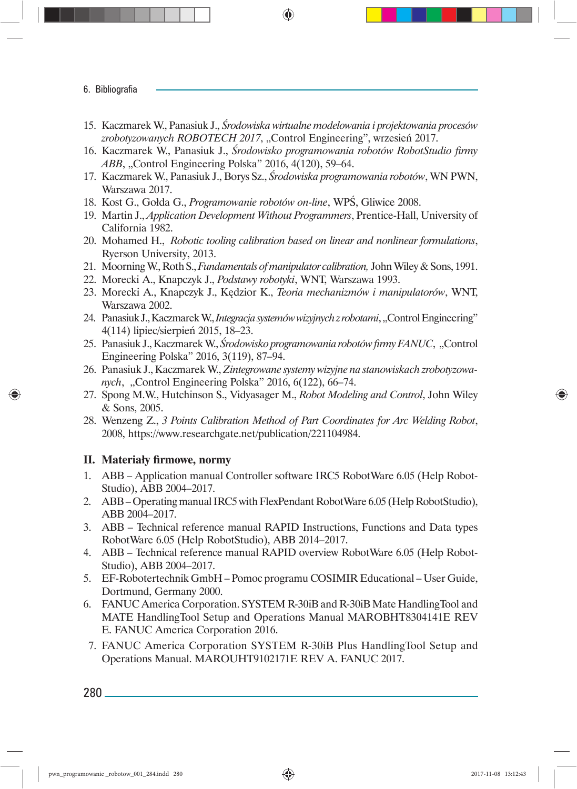- 6. Bibliografia
- 15. Kaczmarek W., Panasiuk J., *Środowiska wirtualne modelowania i projektowania procesów*  zrobotyzowanych ROBOTECH 2017, "Control Engineering", wrzesień 2017.
- 16. Kaczmarek W., Panasiuk J., Środowisko programowania robotów RobotStudio firmy ABB, "Control Engineering Polska" 2016, 4(120), 59-64.
- 17. Kaczmarek W., Panasiuk J., Borys Sz., *Środowiska programowania robotów*, WN PWN, Warszawa 2017.
- 18. Kost G., Gołda G., *Programowanie robotów on-line*, WPŚ, Gliwice 2008.
- 19. Martin J., *Application Development Without Programmers*, Prentice-Hall, University of California 1982.
- 20. Mohamed H., *Robotic tooling calibration based on linear and nonlinear formulations*, Ryerson University, 2013.
- 21. Moorning W., Roth S., *Fundamentals of manipulator calibration,* John Wiley & Sons, 1991.
- 22. Morecki A., Knapczyk J., *Podstawy robotyki*, WNT, Warszawa 1993.
- 23. Morecki A., Knapczyk J., Kędzior K., *Teoria mechanizmów i manipulatorów*, WNT, Warszawa 2002.
- 24. Panasiuk J., Kaczmarek W., *Integracja systemów wizyjnych z robotami*, "Control Engineering" 4(114) lipiec/sierpień 2015, 18–23.
- 25. Panasiuk J., Kaczmarek W., *Środowisko programowania robotów fi rmy FANUC*, "Control Engineering Polska" 2016, 3(119), 87–94.
- 26. Panasiuk J., Kaczmarek W., *Zintegrowane systemy wizyjne na stanowiskach zrobotyzowanych*, "Control Engineering Polska" 2016, 6(122), 66–74.
- 27. Spong M.W., Hutchinson S., Vidyasager M., *Robot Modeling and Control*, John Wiley & Sons, 2005.
- 28. Wenzeng Z., *3 Points Calibration Method of Part Coordinates for Arc Welding Robot*, 2008, https://www.researchgate.net/publication/221104984.

## **II.** Materiały firmowe, normy

- 1. ABB Application manual Controller software IRC5 RobotWare 6.05 (Help Robot-Studio), ABB 2004–2017.
- 2. ABB Operating manual IRC5 with FlexPendant RobotWare 6.05 (Help RobotStudio), ABB 2004–2017.
- 3. ABB Technical reference manual RAPID Instructions, Functions and Data types RobotWare 6.05 (Help RobotStudio), ABB 2014–2017.
- 4. ABB Technical reference manual RAPID overview RobotWare 6.05 (Help Robot-Studio), ABB 2004–2017.
- 5. EF-Robotertechnik GmbH Pomoc programu COSIMIR Educational User Guide, Dortmund, Germany 2000.
- 6. FANUC America Corporation. SYSTEM R-30iB and R-30iB Mate HandlingTool and MATE HandlingTool Setup and Operations Manual MAROBHT8304141E REV E. FANUC America Corporation 2016.
- 7. FANUC America Corporation SYSTEM R-30iB Plus HandlingTool Setup and Operations Manual. MAROUHT9102171E REV A. FANUC 2017.